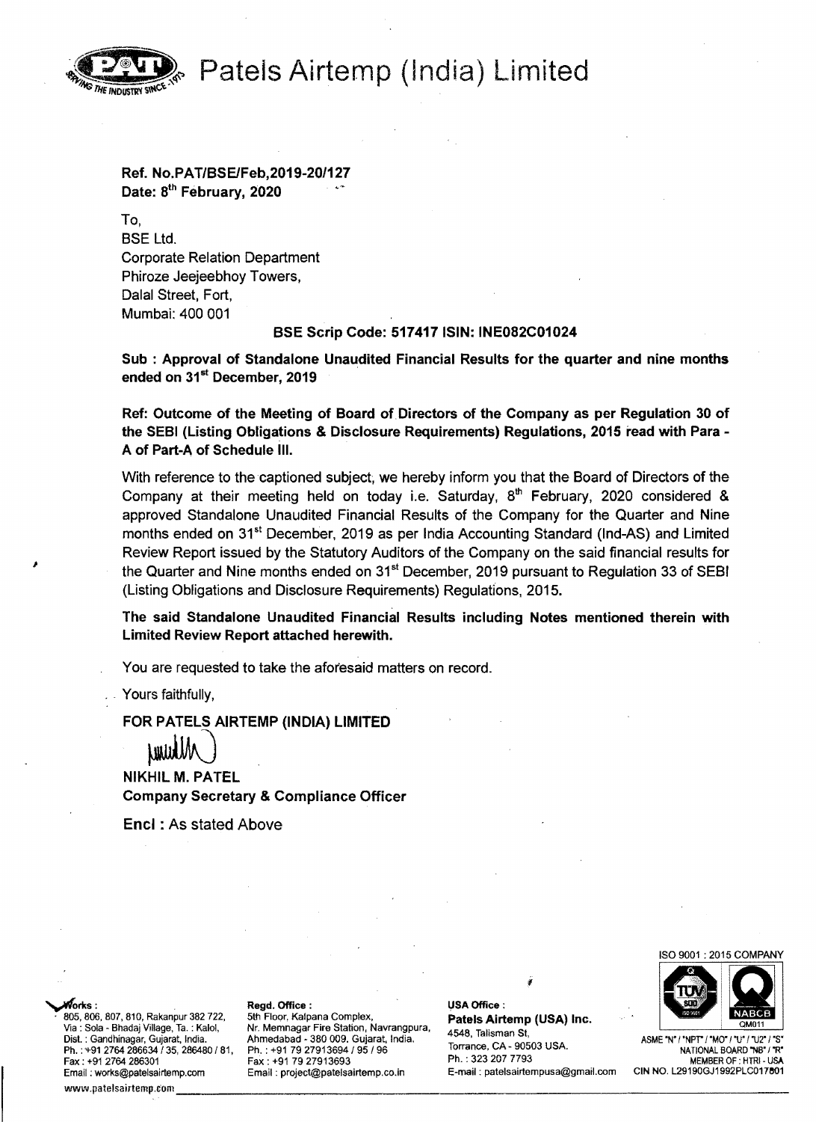**Patels Airtemp (India) Limited** 



# Ref. No.PAT/BSElFeb,2019-20/127 Date: 8<sup>th</sup> February, 2020

To, BSE Ltd. Corporate Relation Department Phiroze Jeejeebhoy Towers, Dalal Street, Fort, Mumbai: 400 001

## BSE Scrip Code: 517417 ISIN: INE082C01024

Sub : Approval of Standalone Unaudited Financial Results for the quarter and nine months ended on 31<sup>st</sup> December, 2019

Ref: Outcome of the Meeting of Board of Directors of the Company as per Regulation 30 of the SEBI (Listing Obligations & Disclosure Requirements) Regulations, 2015 read with Para-A of Part-A of Schedule III.

With reference to the captioned subject, we hereby inform you that the Board of Directors of the Company at their meeting held on today i.e. Saturday,  $8<sup>th</sup>$  February, 2020 considered & approved Standalone Unaudited Financial Results of the Company for the Quarter and Nine months ended on 31<sup>st</sup> December, 2019 as per India Accounting Standard (Ind-AS) and Limited Review Report issued by the Statutory Auditors of the Company on the said financial results for the Quarter and Nine months ended on  $31<sup>st</sup>$  December, 2019 pursuant to Regulation 33 of SEBI (Listing Obligations and Disclosure Requirements) Regulations, 2015.

The said Standalone Unaudited Financial Results including Notes mentioned therein with Limited Review Report attached herewith.

You are requested to take the aforesaid matters on record.

Yours faithfully,

FOR PATELS AIRTEMP (INDIA) LIMITED

FOR PATELS AIRTEMP (IND)<br>
UNUUM<br>
NIKHIL M. PATEL Company Secretary & Compliance Officer

Encl : As stated Above

ISO 9001 : 2015 COMPANY



Email: works@patelsairtemp.com Email: project@patelsairtemp.co.in Email : works@patelsairtemp.com Email : project@patelsairtemp.co.in E-mail : patelsairtempusa@gmail.com CIN NO. L29190GJ1992PLC017601<br>www.patelsairtemp.com Email : project@patelsairtemp.co.in

805, 806, 807, 810, Rakanpur 382 722, 5th Floor, Kalpana Complex, **Patels Airtemp (USA) Inc.**<br>Via : Sola - Bhadaj Village, Ta. : Kalol, Nr. Memnagar Fire Station, Navrangpura, 4548, Talisman St Via: Sola Bhadaj Village, Ta. : Kalol, Nr. Memnagar Fire Station, Navrangpura, 4548, Talisman St, Dist. : Gandhinagar, Gujarat, India. Ahmedabad - 380 009. Gujarat, India. ASME 'N' / 'NPT" <sup>I</sup>'MO' / 'U' /'U2' / 'S' Torrance, CA· 90503 USA. Ph. : '1-912764 286634135,286480181, Ph. : +91 7927913694/95/96 NATIONAL BOARD 'NB' I'R' Fh. : +91 2764 286634 / 35, 286480 / 81, Ph. : +91 79 27913694 / 95 / 96 Ph. : 323 207 7793 Ph. : +91 70 2791<br>Fax : +91 79 27913693 Ph. : 323 207 7793 MEMBER OF : HTRI - USA<br>Email : works@patelsairtemp.com Email : project

where  $r$  Regd, Office: later and the Regular Regdensity of the later  $\mathsf{MSA}$  Office: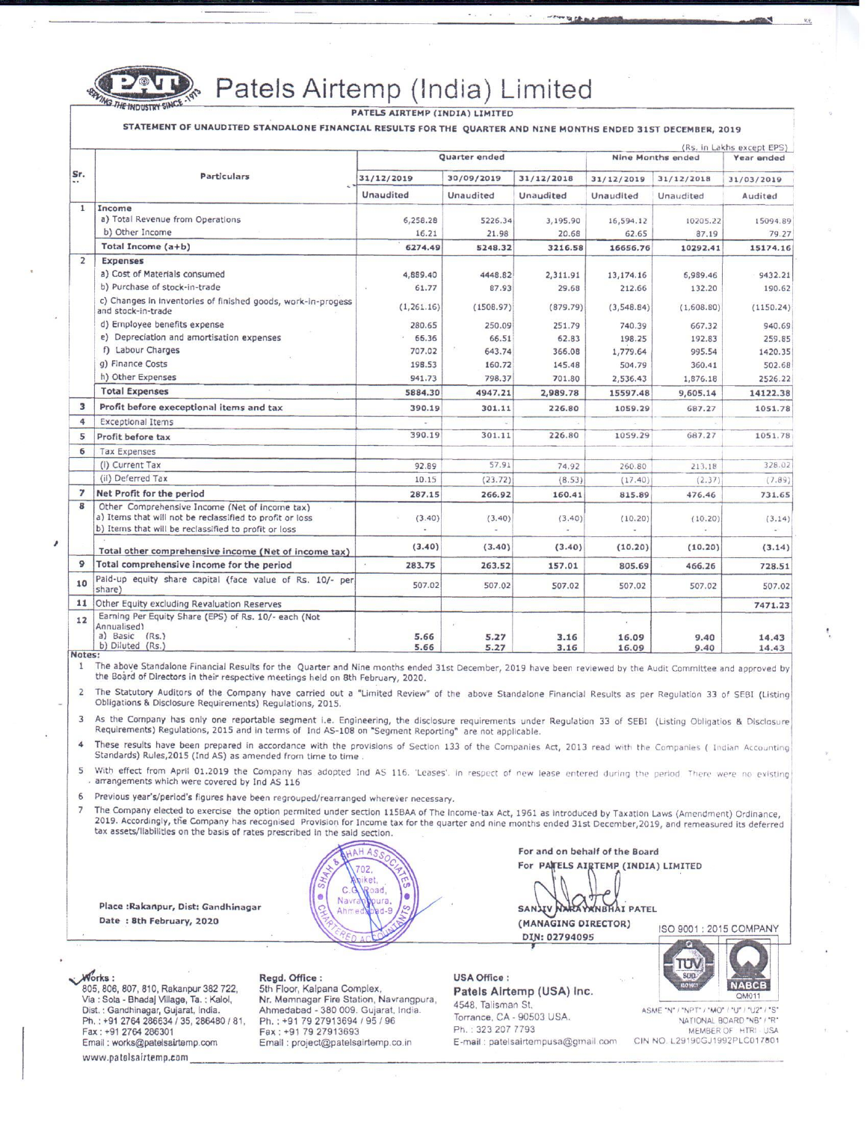

Patels Airtemp (India) Limited

PATELS AIRTEMP (INDIA) LIMITED

STATEMENT OF UNAUDITED STANDALONE FINANCIAL RESULTS FOR THE QUARTER AND NINE MONTHS ENDED 31ST DECEMBER, 2019

| Sr.                              | <b>Particulars</b>                                                                                         | Quarter ended                  |                         |                         | <b>Nine Months ended</b> |                         | (Rs. in Lakhs except EPS)<br>Year ended |
|----------------------------------|------------------------------------------------------------------------------------------------------------|--------------------------------|-------------------------|-------------------------|--------------------------|-------------------------|-----------------------------------------|
|                                  |                                                                                                            | 31/12/2019<br><b>Unaudited</b> | 30/09/2019<br>Unaudited | 31/12/2018<br>Unaudited | 31/12/2019<br>Unaudited  | 31/12/2018<br>Unaudited | 31/03/2019<br>Audited                   |
|                                  |                                                                                                            |                                |                         |                         |                          |                         |                                         |
| a) Total Revenue from Operations | 6,258.28                                                                                                   | 5226.34                        | 3,195.90                | 16,594.12               | 10205.22                 | 15094.89                |                                         |
| b) Other Income                  | 16.21                                                                                                      | 21.98                          | 20.68                   | 62.65                   | 87.19                    | 79.27                   |                                         |
| Total Income (a+b)               | 6274.49                                                                                                    | 5248.32                        | 3216.58                 | 16656.76                | 10292.41                 | 15174.16                |                                         |
| $\overline{2}$                   | <b>Expenses</b>                                                                                            |                                |                         |                         |                          |                         |                                         |
|                                  | a) Cost of Materials consumed                                                                              | 4,889.40                       | 4448.82                 | 2,311.91                | 13,174.16                | 6,989.46                | 9432.21                                 |
|                                  | b) Purchase of stock-in-trade                                                                              | 61.77                          | 87.93                   | 29.68                   | 212.66                   | 132.20                  | 190.62                                  |
|                                  | c) Changes in inventories of finished goods, work-in-progess<br>and stock-in-trade                         | (1, 261.16)                    | (1508.97)               | (879.79)                | (3,548.84)               | (1,608.80)              | (1150.24)                               |
|                                  | d) Employee benefits expense                                                                               | 280.65                         | 250.09                  | 251.79                  | 740.39                   | 667.32                  | 940.69                                  |
|                                  | e) Depreciation and amortisation expenses                                                                  | 66.36                          | 66.51                   | 62.83                   | 198.25                   | 192.83                  | 259.85                                  |
|                                  | f) Labour Charges                                                                                          | 707.02                         | 643.74                  | 366.08                  | 1,779.64                 | 995.54                  | 1420.35                                 |
|                                  | g) Finance Costs                                                                                           | 198.53                         | 160.72                  | 145.48                  | 504.79                   | 360.41                  | 502.68                                  |
|                                  | h) Other Expenses                                                                                          | 941.73                         | 798.37                  | 701.80                  | 2,536.43                 | 1,876.18                | 2526.22                                 |
|                                  | <b>Total Expenses</b>                                                                                      | 5884.30                        | 4947.21                 | 2,989.78                | 15597.48                 | 9,605.14                | 14122.38                                |
| 3                                | Profit before execeptional items and tax                                                                   | 390.19                         | 301.11                  | 226.80                  | 1059.29                  | 687.27                  | 1051.78                                 |
| 4                                | <b>Exceptional Items</b>                                                                                   |                                |                         |                         |                          |                         |                                         |
| 5                                | Profit before tax                                                                                          | 390.19                         | 301.11                  | 226.80                  | 1059.29                  | 687.27                  | 1051.78                                 |
| 6                                | <b>Tax Expenses</b>                                                                                        |                                |                         |                         |                          |                         |                                         |
|                                  | (i) Current Tax                                                                                            | 92.89                          | 57.91                   | 74.92                   | 260.80                   | 213.18                  | 328.02                                  |
|                                  | (ii) Deferred Tax                                                                                          | 10.15                          | (23.72)                 | (8.53)                  | (17.40)                  | (2.37)                  | (7.89)                                  |
| $\overline{7}$                   | Net Profit for the period                                                                                  | 287.15                         | 266.92                  | 160.41                  | 815.89                   | 476.46                  | 731.65                                  |
| 8                                | Other Comprehensive Income (Net of income tax)<br>a) Items that will not be reclassified to profit or loss | (3.40)                         | (3.40)                  | (3.40)                  | (10.20)                  | (10.20)                 | (3.14)                                  |
|                                  | b) Items that will be reclassified to profit or loss                                                       |                                |                         |                         |                          |                         |                                         |
|                                  | Total other comprehensive income (Net of income tax)                                                       | (3.40)                         | (3.40)                  | (3.40)                  | (10.20)                  | (10, 20)                | (3.14)                                  |
| 9                                | Total comprehensive income for the period                                                                  | 283.75                         | 263.52                  | 157.01                  | 805.69                   | 466.26                  | 728.51                                  |
| 10                               | Paid-up equity share capital (face value of Rs. 10/- per<br>share)                                         | 507.02                         | 507.02                  | 507.02                  | 507.02                   | 507.02                  | 507.02                                  |
| 11                               | Other Equity excluding Revaluation Reserves                                                                |                                |                         |                         |                          |                         | 7471.23                                 |
| 12                               | Earning Per Equity Share (EPS) of Rs. 10/- each (Not<br>Annualised)<br>a) Basic (Rs.)<br>b) Diluted (Rs.)  | 5.66<br>5.66                   | 5.27<br>5.27            | 3.16<br>3.16            | 16.09<br>16.09           | 9.40<br>9.40            | 14.43<br>14.43                          |

Notes:

The above Standalone Financial Results for the Quarter and Nine months ended 31st December, 2019 have been reviewed by the Audit Committee and approved by  $\,1$ the Board of Directors in their respective meetings held on 8th February, 2020.

The Statutory Auditors of the Company have carried out a "Limited Review" of the above Standalone Financial Results as per Regulation 33 of SEBI (Listing  $\overline{2}$ Obligations & Disclosure Requirements) Regulations, 2015.

As the Company has only one reportable segment i.e. Engineering, the disclosure requirements under Regulation 33 of SEBI (Listing Obligatios & Disclosure 3 Requirements) Regulations, 2015 and in terms of Ind AS-108 on "Segment Reporting" are not applicable.

These results have been prepared in accordance with the provisions of Section 133 of the Companies Act, 2013 read with the Companies ( Indian Accounting  $\overline{\bf 4}$ Standards) Rules, 2015 (Ind AS) as amended from time to time

With effect from April 01.2019 the Company has adopted Ind AS 116. 'Leases'. In respect of new lease entered during the period. There were no existing 5 arrangements which were covered by Ind AS 116

Previous year's/period's figures have been regrouped/rearranged wherever necessary. 6

 $\overline{7}$ The Company elected to exercise the option permited under section 115BAA of The Income-tax Act, 1961 as introduced by Taxation Laws (Amendment) Ordinance, 2019. Accordingly, the Company has recognised Provision for Income tax for the quarter and nine months ended 31st December, 2019, and remeasured its deferred tax assets/liabilities on the basis of rates prescribed in the said section.



For and on behalf of the Board For PATELS AIRTEMP (INDIA) LIMITED

**YANBHAI PATEL** SANJIV (MANAGING DIRECTOR)

ISO 9001: 2015 COMPANY

DIN: 02794095

**NABCB** 

Works: 805, 806, 807, 810, Rakanpur 382 722, Via : Sola - Bhadaj Village, Ta. : Kalol, Dist. : Gandhinagar, Gujarat, India. Ph.: +91 2764 286634 / 35, 286480 / 81, Fax: +91 2764 286301 Email: works@patelsairtemp.com www.patelsairtemp.com

Place : Rakanpur, Dist: Gandhinagar

Date: 8th February, 2020

### Regd. Office:

5th Floor, Kalpana Complex, Nr. Memnagar Fire Station, Navrangpura, Ahmedabad - 380 009. Gujarat, India. Ph.: +91 79 27913694 / 95 / 96 Fax: +91 79 27913693 Email: project@patelsairtemp.co.in

**USA Office:** Patels Airtemp (USA) Inc. 4548. Talisman St. Torrance, CA - 90503 USA.

Ph.: 323 207 7793 E-mail: patelsairtempusa@gmail.com

ASME "N" / "NPT" / "MO" / "U" / "U2" / "S' NATIONAL BOARD "NB" / "R" MEMBER OF HTRI USA CIN NO. L29190GJ1992PLC017801